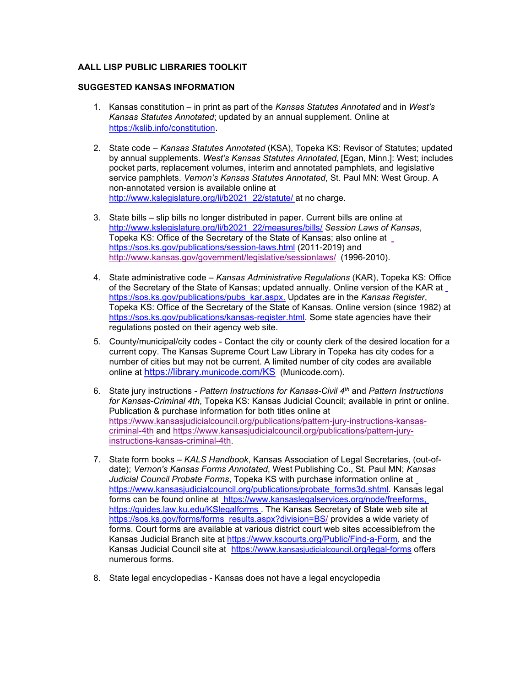## **AALL LISP PUBLIC LIBRARIES TOOLKIT**

## **SUGGESTED KANSAS INFORMATION**

- 1. Kansas constitution in print as part of the *Kansas Statutes Annotated* and in *West's Kansas Statutes Annotated*; updated by an annual supplement. Online at [https://kslib.info/constitution.](https://kslib.info/constitution)
- 2. State code *Kansas Statutes Annotated* (KSA), Topeka KS: Revisor of Statutes; updated by annual supplements. *West's Kansas Statutes Annotated*, [Egan, Minn.]: West; includes pocket parts, replacement volumes, interim and annotated pamphlets, and legislative service pamphlets. *Vernon's Kansas Statutes Annotated*, St. Paul MN: West Group. A non-annotated version is available online at [http://www.kslegislature.org/li/b2021\\_22/statute/](http://www.kslegislature.org/li/b2021_22/statute/) at no charge.
- 3. State bills slip bills no longer distributed in paper. Current bills are online at [http://www.kslegislature.org/li/b2021\\_22/measures/bills/](http://www.kslegislature.org/li/b2021_22/measures/bills/) *Session Laws of Kansas*, Topeka KS: Office of the Secretary of the State of Kansas; also online at <https://sos.ks.gov/publications/session-laws.html> (2011-2019) and <http://www.kansas.gov/government/legislative/sessionlaws/> (1996-2010).
- 4. State administrative code *Kansas Administrative Regulations* (KAR), Topeka KS: Offi[ce](https://sos.ks.gov/publications/pubs_kar.aspx) of the Secretary of the State of Kansas; updated annually. Online version of the KAR at [https://sos.ks.gov/publications/pubs\\_kar.aspx.](https://sos.ks.gov/publications/pubs_kar.aspx) Updates are in the *Kansas Register*, Topeka KS: Office of the Secretary of the State of Kansas. Online version (since 1982) at [https://sos.ks.gov/publications/kansas-register.html.](https://sos.ks.gov/publications/kansas-register.html) Some state agencies have their regulations posted on their agency web site.
- 5. County/municipal/city codes Contact the city or county clerk of the desired location for a current copy. The Kansas Supreme Court Law Library in Topeka has city codes for a number of cities but may not be current. A limited number of city codes are available online at <https://library.municode.com/KS> (Municode.com).
- 6. State jury instructions *Pattern Instructions for Kansas-Civil 4th* and *Pattern Instructions for Kansas-Criminal 4th*, Topeka KS: Kansas Judicial Council; available in print or online. Publication & purchase information for both titles online at https://www.kansasjudicialcouncil.org/publications/pattern-jury-instructions-kansascriminal-4th and https[://www.kansasjudicialcouncil.org/publications/pattern-jury](http://www.kansasjudicialcouncil.org/publications/pattern-jury-instructions-)[instructions-k](http://www.kansasjudicialcouncil.org/publications/pattern-jury-instructions-)ansas-criminal-4th.
- 7. State form books *KALS Handbook*, Kansas Association of Legal Secretaries, (out-ofdate); *Vernon's Kansas Forms Annotated*, West Publishing Co., St. Paul MN; *Kansas Judicial Council Probate Forms*, Topeka KS with purchase information online at [https://www.kansasjudicialcouncil.org/publications/probate\\_forms3d.shtml.](https://www.kansasjudicialcouncil.org/publications/probate_forms3d.shtml) Kansas legal forms can be found online at [https://www.kansaslegalservices.org/node/freeforms,](http://www.kansaslegalservices.org/FreeLegalForms) [https://guides.law.ku.edu/KSlegalforms](http://guides.law.ku.edu/KSlegalforms) [. T](http://www.washlaw.edu/uslaw/states/kansas.html#pracres)he Kansas Secretary of State web site at [https://sos.ks.gov/forms/forms\\_results.aspx?division=BS/](https://sos.ks.gov/forms/forms_results.aspx?division=BS) provides a wide variety of forms. Court forms are available at various district court web sites accessiblefrom the Kansas Judicial Branch site at [https://www.kscourts.org/Public/Find-a-Form,](https://www.kscourts.org/Public/Find-a-Form) and the Kansas Judicial Council site at [https://www.kansasjudicialcouncil.org/legal-forms](http://www.kansasjudicialcouncil.org/legal-forms) [o](http://www.kansasjudicialcouncil.org/legal-forms)ffers numerous forms.
- 8. State legal encyclopedias Kansas does not have a legal encyclopedia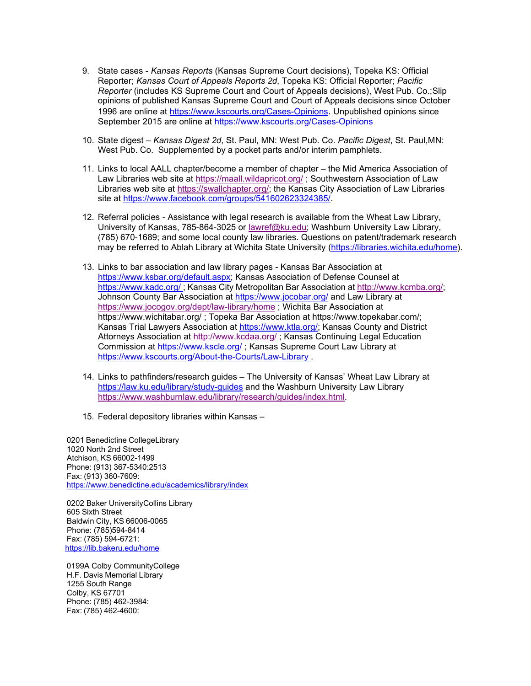- 9. State cases *Kansas Reports* (Kansas Supreme Court decisions), Topeka KS: Official Reporter; *Kansas Court of Appeals Reports 2d*, Topeka KS: Official Reporter; *Pacific Reporter* (includes KS Supreme Court and Court of Appeals decisions), West Pub. Co.;Slip opinions of published Kansas Supreme Court and Court of Appeals decisions since October 1996 are online at [https://www.kscourts.org/Cases-Opinions.](https://www.kscourts.org/Cases-Opinions) Unpublished opinions since September 2015 are online at <https://www.kscourts.org/Cases-Opinions>
- 10. State digest *Kansas Digest 2d*, St. Paul, MN: West Pub. Co. *Pacific Digest*, St. Paul,MN: West Pub. Co. Supplemented by a pocket parts and/or interim pamphlets.
- 11. Links to local AALL chapter/become a member of chapter the Mid America Association of Law Libraries web site at https://maall.wildapricot.org/ ; Southwestern Association of Law Libraries web site at https://swallchapter.org/; the Kansas City Association of Law Libraries site at [https://www.facebook.com/groups/541602623324385/.](https://www.facebook.com/groups/541602623324385/)
- 12. Referral policies Assistance with legal research is available from the Wheat Law Library, University of Kansas, 785-864-3025 or lawref@ku.edu; Washburn University Law Library, (785) 670-1689; and some local county law libraries. Questions on patent/trademark research may be referred to Ablah Library at Wichita State University [\(https://libraries.wichita.edu/home\).](https://libraries.wichita.edu/home)
- 13. Links to bar association and law library pages Kansas Bar Association at <https://www.ksbar.org/default.aspx>[; K](http://www.ksbar.org/default.aspx%3B)ansas Association of Defense Counsel at <https://www.kadc.org/> ; Kansas City Metropolitan Bar Association at [http://www.kcmba.org/;](http://www.kcmba.org/) Johnson County Bar Association at<https://www.jocobar.org/> and Law Library at https://www.jocogov.org/dept/law-library/home ; Wichita Bar Association at <https://www.wichitabar.org/> ; Topeka Bar Association at [https://www.topekabar.com/;](http://www.topekabar.com/) Kansas Trial Lawyers Association at http[s://www.ktla.org/;](http://www.ktla.org/%3B) Kansas County and District Attorneys Association at<http://www.kcdaa.org/> ; Kansas Continuing Legal Education Commission at<https://www.kscle.org/> ; Kansas Supreme Court Law Library at <https://www.kscourts.org/About-the-Courts/Law-Library> .
- 14. Links to pathfinders/research guides The University of Kansas' Wheat Law Library at <https://law.ku.edu/library/study-guides> and the Washburn University Law Librar[y](http://washburnlaw.edu/library/research/guides/index.html) [https://www.washburnlaw.edu/library/research/guides/index.html.](http://washburnlaw.edu/library/research/guides/index.html)
- 15. Federal depository libraries within Kansas –

 0201 Benedictine CollegeLibrary 1020 North 2nd Street Atchison, KS 66002-1499 Phone: (913) 367-5340:2513 Fax: (913) 360-7609: <https://www.benedictine.edu/academics/library/index>

0202 Baker UniversityCollins Library 605 Sixth Street Baldwin City, KS 66006-0065 Phone: (785)594-8414 Fax: (785) 594-6721: <https://lib.bakeru.edu/home>

0199A Colby CommunityCollege H.F. Davis Memorial Library 1255 South Range Colby, KS 67701 Phone: (785) 462-3984: Fax: (785) 462-4600: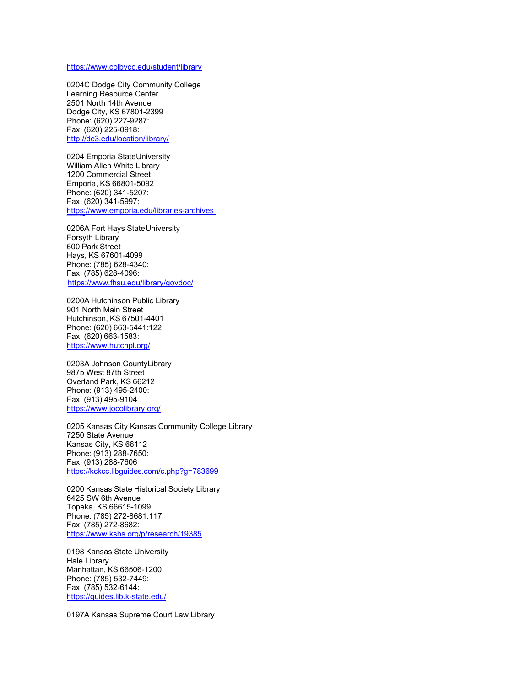## <https://www.colbycc.edu/student/library>

0204C Dodge City Community College Learning Resource Center 2501 North 14th Avenue Dodge City, KS 67801-2399 Phone: (620) 227-9287: Fax: (620) 225-0918: <http://dc3.edu/location/library/>

0204 Emporia StateUniversity William Allen White Library 1200 Commercial Street Emporia, KS 66801-5092 Phone: (620) 341-5207: Fax: (620) 341-5997: <https://www.emporia.edu/libraries-archives>

0206A Fort Hays State University Forsyth Library 600 Park Street Hays, KS 67601-4099 Phone: (785) 628-4340: Fax: (785) 628-4096: <https://www.fhsu.edu/library/govdoc/>

0200A Hutchinson Public Library 901 North Main Street Hutchinson, KS 67501-4401 Phone: (620) 663-5441:122 Fax: (620) 663-1583: <https://www.hutchpl.org/>

0203A Johnson CountyLibrary 9875 West 87th Street Overland Park, KS 66212 Phone: (913) 495-2400: Fax: (913) 495-9104 <https://www.jocolibrary.org/>

0205 Kansas City Kansas Community College Library 7250 State Avenue Kansas City, KS 66112 Phone: (913) 288-7650: Fax: (913) 288-7606 <https://kckcc.libguides.com/c.php?g=783699>

0200 Kansas State Historical Society Library 6425 SW 6th Avenue Topeka, KS 66615-1099 Phone: (785) 272-8681:117 Fax: (785) 272-8682: <https://www.kshs.org/p/research/19385>

0198 Kansas State University Hale Library Manhattan, KS 66506-1200 Phone: (785) 532-7449: Fax: (785) 532-6144: <https://guides.lib.k-state.edu/>

0197A Kansas Supreme Court Law Library